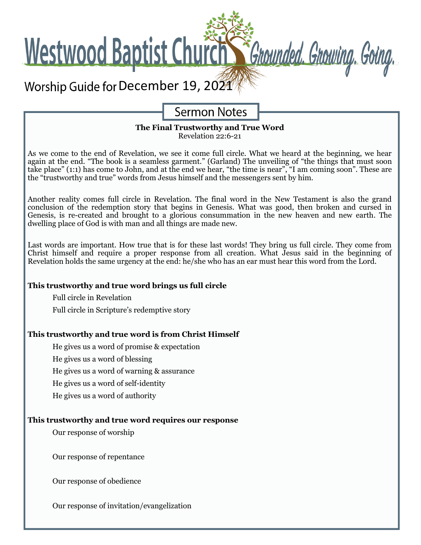

# **Sermon Notes**

#### **The Final Trustworthy and True Word** Revelation 22:6-21

As we come to the end of Revelation, we see it come full circle. What we heard at the beginning, we hear again at the end. "The book is a seamless garment." (Garland) The unveiling of "the things that must soon take place" (1:1) has come to John, and at the end we hear, "the time is near", "I am coming soon". These are the "trustworthy and true" words from Jesus himself and the messengers sent by him.

Another reality comes full circle in Revelation. The final word in the New Testament is also the grand conclusion of the redemption story that begins in Genesis. What was good, then broken and cursed in Genesis, is re-created and brought to a glorious consummation in the new heaven and new earth. The dwelling place of God is with man and all things are made new.

Last words are important. How true that is for these last words! They bring us full circle. They come from Christ himself and require a proper response from all creation. What Jesus said in the beginning of Revelation holds the same urgency at the end: he/she who has an ear must hear this word from the Lord.

### **This trustworthy and true word brings us full circle**

Full circle in Revelation

Full circle in Scripture's redemptive story

### **This trustworthy and true word is from Christ Himself**

He gives us a word of promise & expectation

He gives us a word of blessing

He gives us a word of warning & assurance

He gives us a word of self-identity

He gives us a word of authority

### **This trustworthy and true word requires our response**

Our response of worship

Our response of repentance

Our response of obedience

Our response of invitation/evangelization